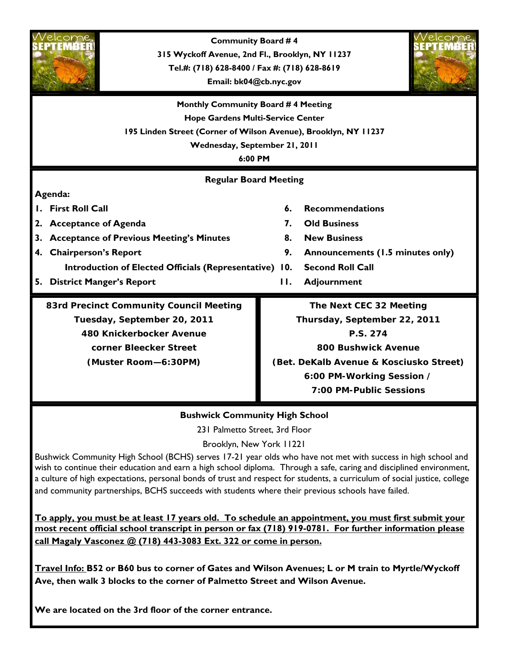

**We are located on the 3rd floor of the corner entrance.**